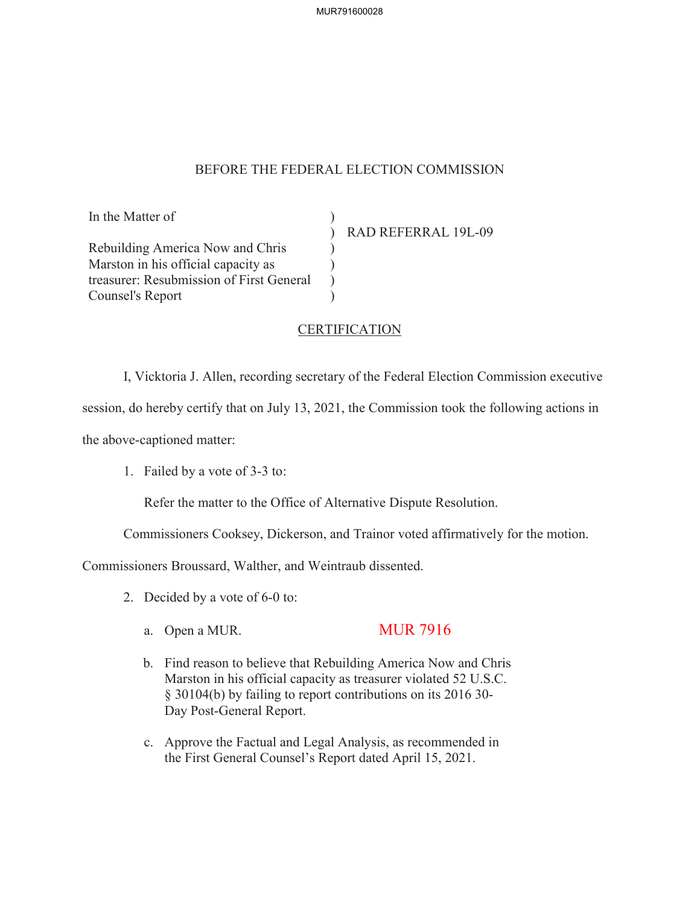## BEFORE THE FEDERAL ELECTION COMMISSION

 $\lambda$ )  $\mathcal{L}$ )

In the Matter of

Rebuilding America Now and Chris Marston in his official capacity as treasurer: Resubmission of First General Counsel's Report

) RAD REFERRAL 19L-09

## **CERTIFICATION**

I, Vicktoria J. Allen, recording secretary of the Federal Election Commission executive

session, do hereby certify that on July 13, 2021, the Commission took the following actions in

the above-captioned matter:

1. Failed by a vote of 3-3 to:

Refer the matter to the Office of Alternative Dispute Resolution.

Commissioners Cooksey, Dickerson, and Trainor voted affirmatively for the motion.

Commissioners Broussard, Walther, and Weintraub dissented.

- 2. Decided by a vote of 6-0 to:
	- a. Open a MUR. MUR 7916

- b. Find reason to believe that Rebuilding America Now and Chris Marston in his official capacity as treasurer violated 52 U.S.C. § 30104(b) by failing to report contributions on its 2016 30- Day Post-General Report.
- c. Approve the Factual and Legal Analysis, as recommended in the First General Counsel's Report dated April 15, 2021.